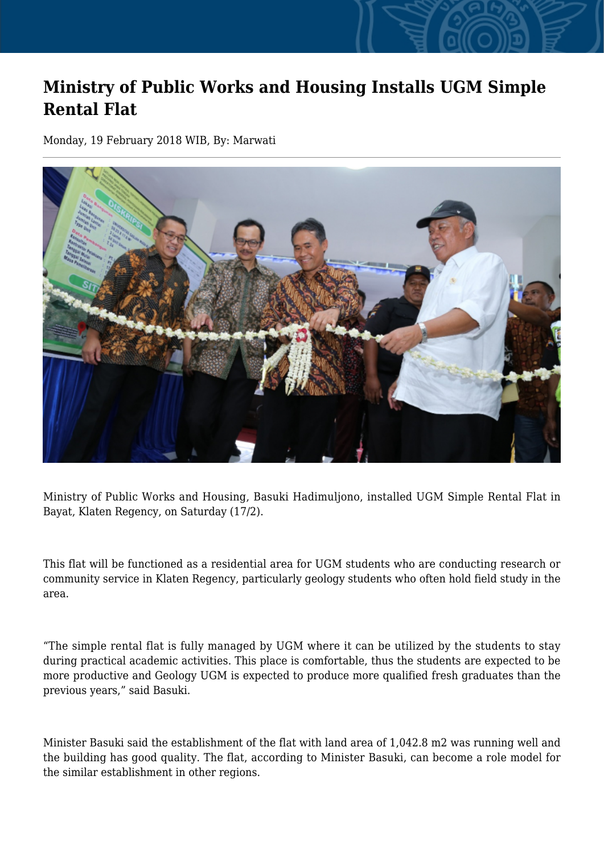## **Ministry of Public Works and Housing Installs UGM Simple Rental Flat**

Monday, 19 February 2018 WIB, By: Marwati



Ministry of Public Works and Housing, Basuki Hadimuljono, installed UGM Simple Rental Flat in Bayat, Klaten Regency, on Saturday (17/2).

This flat will be functioned as a residential area for UGM students who are conducting research or community service in Klaten Regency, particularly geology students who often hold field study in the area.

"The simple rental flat is fully managed by UGM where it can be utilized by the students to stay during practical academic activities. This place is comfortable, thus the students are expected to be more productive and Geology UGM is expected to produce more qualified fresh graduates than the previous years," said Basuki.

Minister Basuki said the establishment of the flat with land area of 1,042.8 m2 was running well and the building has good quality. The flat, according to Minister Basuki, can become a role model for the similar establishment in other regions.